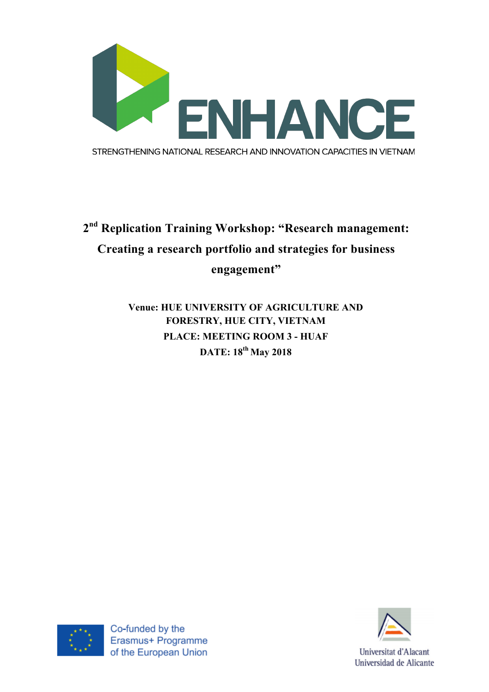

## **2nd Replication Training Workshop: "Research management: Creating a research portfolio and strategies for business engagement"**

**Venue: HUE UNIVERSITY OF AGRICULTURE AND FORESTRY, HUE CITY, VIETNAM PLACE: MEETING ROOM 3 - HUAF DATE: 18th May 2018**





Universitat d'Alacant Universidad de Alicante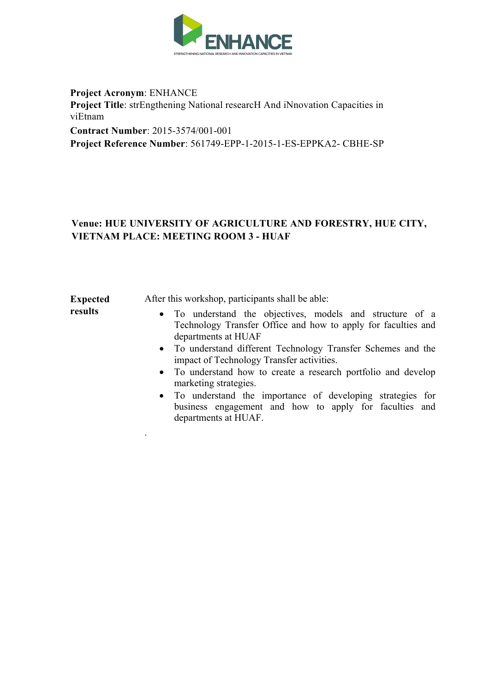

**Project Acronym**: ENHANCE **Project Title**: strEngthening National researcH And iNnovation Capacities in viEtnam **Contract Number**: 2015-3574/001-001 **Project Reference Number**: 561749-EPP-1-2015-1-ES-EPPKA2- CBHE-SP

## **Venue: HUE UNIVERSITY OF AGRICULTURE AND FORESTRY, HUE CITY, VIETNAM PLACE: MEETING ROOM 3 - HUAF**

**Expected results** 

.

After this workshop, participants shall be able:

- To understand the objectives, models and structure of a Technology Transfer Office and how to apply for faculties and departments at HUAF
- To understand different Technology Transfer Schemes and the impact of Technology Transfer activities.
- To understand how to create a research portfolio and develop marketing strategies.
- To understand the importance of developing strategies for business engagement and how to apply for faculties and departments at HUAF.